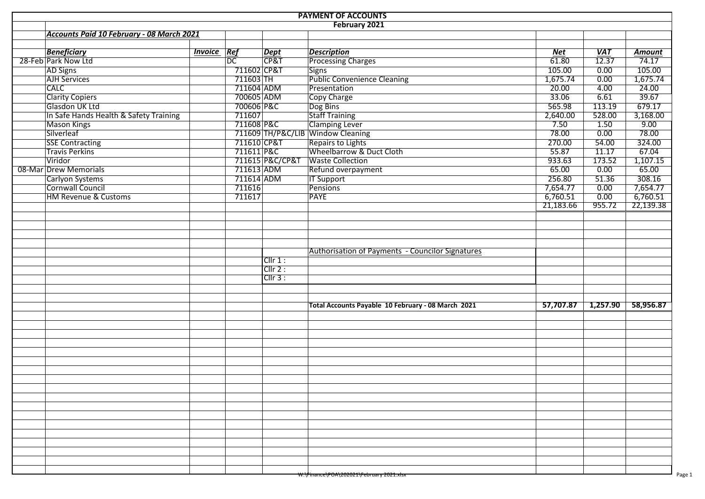| <b>PAYMENT OF ACCOUNTS</b> |                                           |                |                 |                 |                                                    |                 |                      |               |  |  |  |  |
|----------------------------|-------------------------------------------|----------------|-----------------|-----------------|----------------------------------------------------|-----------------|----------------------|---------------|--|--|--|--|
|                            |                                           |                |                 |                 | February 2021                                      |                 |                      |               |  |  |  |  |
|                            | Accounts Paid 10 February - 08 March 2021 |                |                 |                 |                                                    |                 |                      |               |  |  |  |  |
|                            |                                           |                |                 |                 |                                                    |                 |                      |               |  |  |  |  |
|                            | <b>Beneficiary</b>                        | <b>Invoice</b> | Ref             | Dept            | <b>Description</b>                                 | Net             | <b>VAT</b>           | <b>Amount</b> |  |  |  |  |
|                            | 28-Feb Park Now Ltd                       |                | $\overline{DC}$ | CP&T            | <b>Processing Charges</b>                          | 61.80           | $\overline{12.37}$   | 74.17         |  |  |  |  |
|                            | <b>AD Signs</b>                           |                | 711602 CP&T     |                 | Signs                                              | 105.00          | 0.00                 | 105.00        |  |  |  |  |
|                            | <b>AJH Services</b>                       |                | 711603 TH       |                 | <b>Public Convenience Cleaning</b>                 | 1,675.74        | 0.00                 | 1,675.74      |  |  |  |  |
|                            | <b>CALC</b>                               |                | 711604 ADM      |                 | Presentation                                       | 20.00           | 4.00                 | 24.00         |  |  |  |  |
|                            | <b>Clarity Copiers</b><br>Glasdon UK Ltd  |                | 700605 ADM      |                 | Copy Charge                                        | 33.06<br>565.98 | 6.61                 | 39.67         |  |  |  |  |
|                            |                                           |                | 700606 P&C      |                 | Dog Bins                                           |                 | 113.19               | 679.17        |  |  |  |  |
|                            | In Safe Hands Health & Safety Training    |                | 711607          |                 | Staff Training                                     | 2,640.00        | 528.00               | 3,168.00      |  |  |  |  |
|                            | <b>Mason Kings</b>                        |                | 711608 P&C      |                 | <b>Clamping Lever</b>                              | 7.50            | 1.50                 | 9.00          |  |  |  |  |
|                            | Silverleaf                                |                |                 |                 | 711609 TH/P&C/LIB Window Cleaning                  | 78.00           | 0.00                 | 78.00         |  |  |  |  |
|                            | <b>SSE Contracting</b>                    |                | 711610 CP&T     |                 | Repairs to Lights<br>Wheelbarrow & Duct Cloth      | 270.00          | 54.00                | 324.00        |  |  |  |  |
|                            | <b>Travis Perkins</b>                     |                | 711611 P&C      |                 |                                                    | 55.87           | 11.17                | 67.04         |  |  |  |  |
|                            | Viridor                                   |                |                 | 711615 P&C/CP&T | <b>Waste Collection</b>                            | 933.63          | 173.52               | 1,107.15      |  |  |  |  |
|                            | 08-Mar Drew Memorials                     |                | 711613 ADM      |                 | Refund overpayment                                 | 65.00           | 0.00                 | 65.00         |  |  |  |  |
|                            | Carlyon Systems                           |                | 711614 ADM      |                 | <b>IT Support</b>                                  | 256.80          | 51.36                | 308.16        |  |  |  |  |
|                            | Cornwall Council                          |                | 711616          |                 | <b>Pensions</b>                                    | 7,654.77        | 0.00                 | 7,654.77      |  |  |  |  |
|                            | <b>HM Revenue &amp; Customs</b>           |                | 711617          |                 | <b>PAYE</b>                                        | 6,760.51        | 0.00                 | 6,760.51      |  |  |  |  |
|                            |                                           |                |                 |                 |                                                    | 21,183.66       | 955.72               | 22,139.38     |  |  |  |  |
|                            |                                           |                |                 |                 |                                                    |                 |                      |               |  |  |  |  |
|                            |                                           |                |                 |                 |                                                    |                 |                      |               |  |  |  |  |
|                            |                                           |                |                 |                 |                                                    |                 |                      |               |  |  |  |  |
|                            |                                           |                |                 |                 |                                                    |                 |                      |               |  |  |  |  |
|                            |                                           |                |                 |                 | Authorisation of Payments - Councilor Signatures   |                 |                      |               |  |  |  |  |
|                            |                                           |                |                 | $Cllr 1$ :      |                                                    |                 |                      |               |  |  |  |  |
|                            |                                           |                |                 | Clir 2:         |                                                    |                 |                      |               |  |  |  |  |
|                            |                                           |                |                 | CIIr3:          |                                                    |                 |                      |               |  |  |  |  |
|                            |                                           |                |                 |                 |                                                    |                 |                      |               |  |  |  |  |
|                            |                                           |                |                 |                 |                                                    |                 |                      |               |  |  |  |  |
|                            |                                           |                |                 |                 | Total Accounts Payable 10 February - 08 March 2021 |                 | $57,707.87$ 1,257.90 | 58,956.87     |  |  |  |  |
|                            |                                           |                |                 |                 |                                                    |                 |                      |               |  |  |  |  |
|                            |                                           |                |                 |                 |                                                    |                 |                      |               |  |  |  |  |
|                            |                                           |                |                 |                 |                                                    |                 |                      |               |  |  |  |  |
|                            |                                           |                |                 |                 |                                                    |                 |                      |               |  |  |  |  |
|                            |                                           |                |                 |                 |                                                    |                 |                      |               |  |  |  |  |
|                            |                                           |                |                 |                 |                                                    |                 |                      |               |  |  |  |  |
|                            |                                           |                |                 |                 |                                                    |                 |                      |               |  |  |  |  |
|                            |                                           |                |                 |                 |                                                    |                 |                      |               |  |  |  |  |
|                            |                                           |                |                 |                 |                                                    |                 |                      |               |  |  |  |  |
|                            |                                           |                |                 |                 |                                                    |                 |                      |               |  |  |  |  |
|                            |                                           |                |                 |                 |                                                    |                 |                      |               |  |  |  |  |
|                            |                                           |                |                 |                 |                                                    |                 |                      |               |  |  |  |  |
|                            |                                           |                |                 |                 |                                                    |                 |                      |               |  |  |  |  |
|                            |                                           |                |                 |                 |                                                    |                 |                      |               |  |  |  |  |
|                            |                                           |                |                 |                 |                                                    |                 |                      |               |  |  |  |  |
|                            |                                           |                |                 |                 |                                                    |                 |                      |               |  |  |  |  |
|                            |                                           |                |                 |                 |                                                    |                 |                      |               |  |  |  |  |
|                            |                                           |                |                 |                 |                                                    |                 |                      |               |  |  |  |  |
|                            |                                           |                |                 |                 | W:\Finance\POA\202021\February 2021.xisx           |                 |                      |               |  |  |  |  |